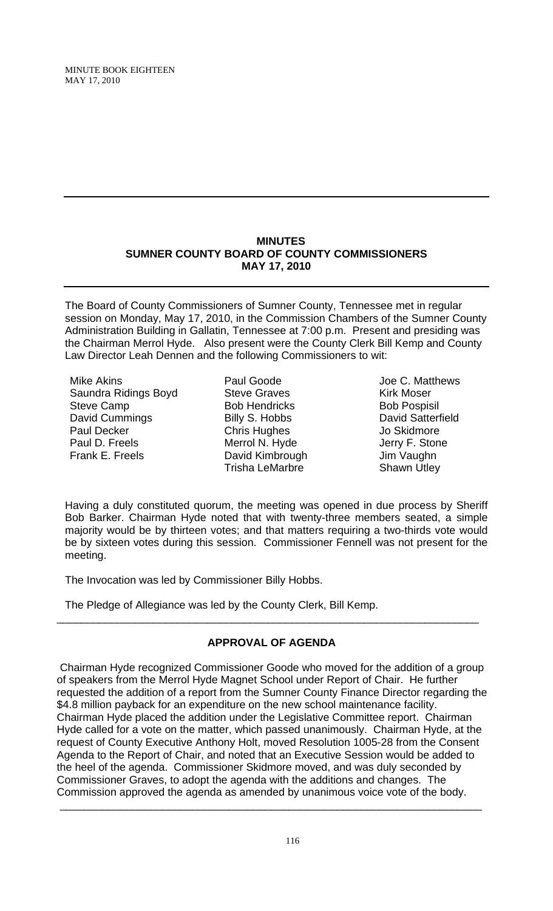MINUTE BOOK EIGHTEEN MAY 17, 2010

## **MINUTES SUMNER COUNTY BOARD OF COUNTY COMMISSIONERS MAY 17, 2010**

The Board of County Commissioners of Sumner County, Tennessee met in regular session on Monday, May 17, 2010, in the Commission Chambers of the Sumner County Administration Building in Gallatin, Tennessee at 7:00 p.m. Present and presiding was the Chairman Merrol Hyde. Also present were the County Clerk Bill Kemp and County Law Director Leah Dennen and the following Commissioners to wit:

Mike Akins Saundra Ridings Boyd Steve Camp David Cummings Paul Decker Paul D. Freels Frank E. Freels

- Paul Goode Steve Graves Bob Hendricks Billy S. Hobbs Chris Hughes Merrol N. Hyde David Kimbrough Trisha LeMarbre
- Joe C. Matthews Kirk Moser Bob Pospisil David Satterfield Jo Skidmore Jerry F. Stone Jim Vaughn Shawn Utley

Having a duly constituted quorum, the meeting was opened in due process by Sheriff Bob Barker. Chairman Hyde noted that with twenty-three members seated, a simple majority would be by thirteen votes; and that matters requiring a two-thirds vote would be by sixteen votes during this session. Commissioner Fennell was not present for the meeting.

The Invocation was led by Commissioner Billy Hobbs.

The Pledge of Allegiance was led by the County Clerk, Bill Kemp.

# **APPROVAL OF AGENDA**

\_\_\_\_\_\_\_\_\_\_\_\_\_\_\_\_\_\_\_\_\_\_\_\_\_\_\_\_\_\_\_\_\_\_\_\_\_\_\_\_\_\_\_\_\_\_\_\_\_\_\_\_\_\_\_\_\_\_\_\_\_\_\_\_\_\_\_\_\_\_

 Chairman Hyde recognized Commissioner Goode who moved for the addition of a group of speakers from the Merrol Hyde Magnet School under Report of Chair. He further requested the addition of a report from the Sumner County Finance Director regarding the \$4.8 million payback for an expenditure on the new school maintenance facility. Chairman Hyde placed the addition under the Legislative Committee report. Chairman Hyde called for a vote on the matter, which passed unanimously. Chairman Hyde, at the request of County Executive Anthony Holt, moved Resolution 1005-28 from the Consent Agenda to the Report of Chair, and noted that an Executive Session would be added to the heel of the agenda. Commissioner Skidmore moved, and was duly seconded by Commissioner Graves, to adopt the agenda with the additions and changes. The Commission approved the agenda as amended by unanimous voice vote of the body.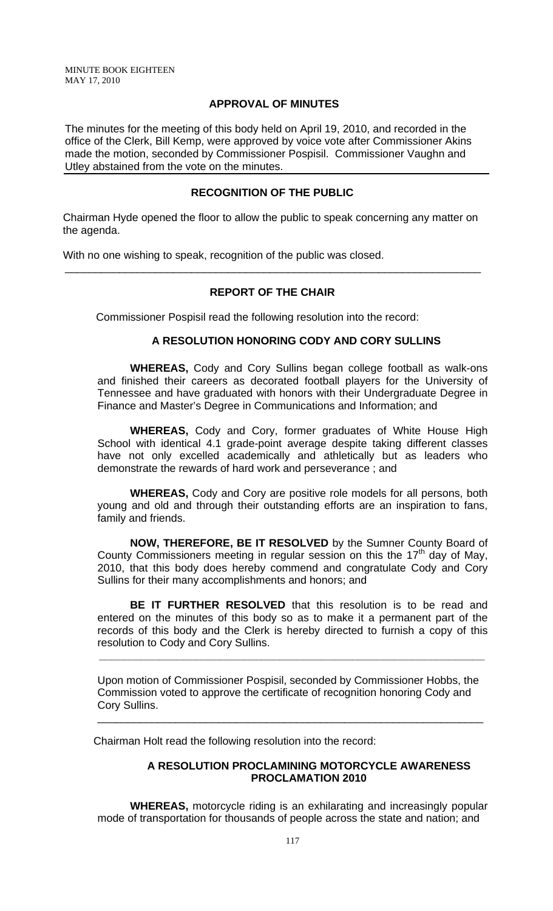MINUTE BOOK EIGHTEEN MAY 17, 2010

### **APPROVAL OF MINUTES**

The minutes for the meeting of this body held on April 19, 2010, and recorded in the office of the Clerk, Bill Kemp, were approved by voice vote after Commissioner Akins made the motion, seconded by Commissioner Pospisil. Commissioner Vaughn and Utley abstained from the vote on the minutes.

## **RECOGNITION OF THE PUBLIC**

 Chairman Hyde opened the floor to allow the public to speak concerning any matter on the agenda.

With no one wishing to speak, recognition of the public was closed.

## **REPORT OF THE CHAIR**

\_\_\_\_\_\_\_\_\_\_\_\_\_\_\_\_\_\_\_\_\_\_\_\_\_\_\_\_\_\_\_\_\_\_\_\_\_\_\_\_\_\_\_\_\_\_\_\_\_\_\_\_\_\_\_\_\_\_\_\_\_\_\_\_\_\_\_\_\_

Commissioner Pospisil read the following resolution into the record:

#### **A RESOLUTION HONORING CODY AND CORY SULLINS**

 **WHEREAS,** Cody and Cory Sullins began college football as walk-ons and finished their careers as decorated football players for the University of Tennessee and have graduated with honors with their Undergraduate Degree in Finance and Master's Degree in Communications and Information; and

**WHEREAS,** Cody and Cory, former graduates of White House High School with identical 4.1 grade-point average despite taking different classes have not only excelled academically and athletically but as leaders who demonstrate the rewards of hard work and perseverance ; and

**WHEREAS,** Cody and Cory are positive role models for all persons, both young and old and through their outstanding efforts are an inspiration to fans, family and friends.

**NOW, THEREFORE, BE IT RESOLVED** by the Sumner County Board of County Commissioners meeting in regular session on this the  $17<sup>th</sup>$  day of May, 2010, that this body does hereby commend and congratulate Cody and Cory Sullins for their many accomplishments and honors; and

**BE IT FURTHER RESOLVED** that this resolution is to be read and entered on the minutes of this body so as to make it a permanent part of the records of this body and the Clerk is hereby directed to furnish a copy of this resolution to Cody and Cory Sullins.

Upon motion of Commissioner Pospisil, seconded by Commissioner Hobbs, the Commission voted to approve the certificate of recognition honoring Cody and Cory Sullins.

\_\_\_\_\_\_\_\_\_\_\_\_\_\_\_\_\_\_\_\_\_\_\_\_\_\_\_\_\_\_\_\_\_\_\_\_\_\_\_\_\_\_\_\_\_\_\_\_\_\_\_\_\_\_\_\_\_\_\_\_\_\_\_\_

 **\_\_\_\_\_\_\_\_\_\_\_\_\_\_\_\_\_\_\_\_\_\_\_\_\_\_\_\_\_\_\_\_\_\_\_\_\_\_\_\_\_\_\_\_\_\_\_\_\_\_\_\_\_\_\_\_\_\_\_\_\_\_\_\_**

Chairman Holt read the following resolution into the record:

#### **A RESOLUTION PROCLAMINING MOTORCYCLE AWARENESS PROCLAMATION 2010**

**WHEREAS,** motorcycle riding is an exhilarating and increasingly popular mode of transportation for thousands of people across the state and nation; and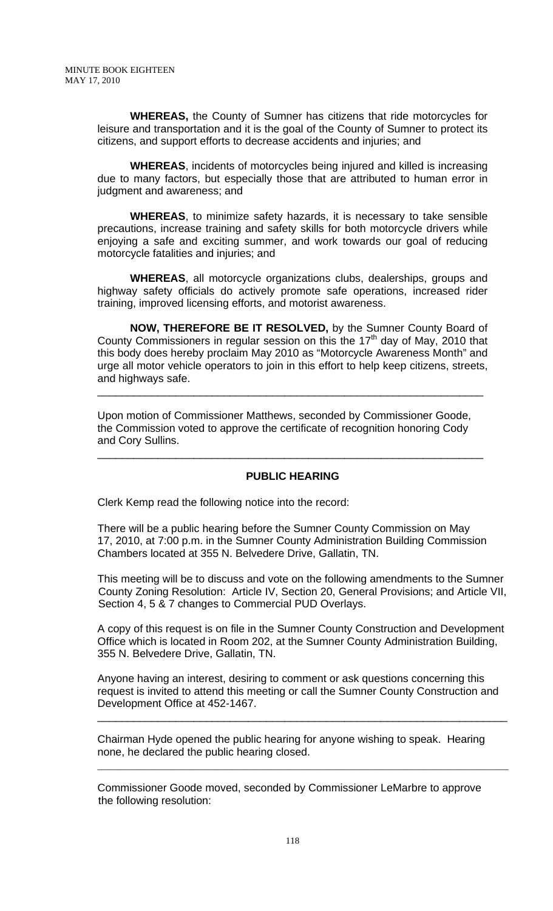**WHEREAS,** the County of Sumner has citizens that ride motorcycles for leisure and transportation and it is the goal of the County of Sumner to protect its citizens, and support efforts to decrease accidents and injuries; and

 **WHEREAS**, incidents of motorcycles being injured and killed is increasing due to many factors, but especially those that are attributed to human error in judgment and awareness; and

 **WHEREAS**, to minimize safety hazards, it is necessary to take sensible precautions, increase training and safety skills for both motorcycle drivers while enjoying a safe and exciting summer, and work towards our goal of reducing motorcycle fatalities and injuries; and

 **WHEREAS**, all motorcycle organizations clubs, dealerships, groups and highway safety officials do actively promote safe operations, increased rider training, improved licensing efforts, and motorist awareness.

 **NOW, THEREFORE BE IT RESOLVED,** by the Sumner County Board of County Commissioners in regular session on this the  $17<sup>th</sup>$  day of May, 2010 that this body does hereby proclaim May 2010 as "Motorcycle Awareness Month" and urge all motor vehicle operators to join in this effort to help keep citizens, streets, and highways safe.

\_\_\_\_\_\_\_\_\_\_\_\_\_\_\_\_\_\_\_\_\_\_\_\_\_\_\_\_\_\_\_\_\_\_\_\_\_\_\_\_\_\_\_\_\_\_\_\_\_\_\_\_\_\_\_\_\_\_\_\_\_\_\_\_

Upon motion of Commissioner Matthews, seconded by Commissioner Goode, the Commission voted to approve the certificate of recognition honoring Cody and Cory Sullins.

### **PUBLIC HEARING**

\_\_\_\_\_\_\_\_\_\_\_\_\_\_\_\_\_\_\_\_\_\_\_\_\_\_\_\_\_\_\_\_\_\_\_\_\_\_\_\_\_\_\_\_\_\_\_\_\_\_\_\_\_\_\_\_\_\_\_\_\_\_\_\_

Clerk Kemp read the following notice into the record:

There will be a public hearing before the Sumner County Commission on May 17, 2010, at 7:00 p.m. in the Sumner County Administration Building Commission Chambers located at 355 N. Belvedere Drive, Gallatin, TN.

This meeting will be to discuss and vote on the following amendments to the Sumner County Zoning Resolution: Article IV, Section 20, General Provisions; and Article VII, Section 4, 5 & 7 changes to Commercial PUD Overlays.

A copy of this request is on file in the Sumner County Construction and Development Office which is located in Room 202, at the Sumner County Administration Building, 355 N. Belvedere Drive, Gallatin, TN.

Anyone having an interest, desiring to comment or ask questions concerning this request is invited to attend this meeting or call the Sumner County Construction and Development Office at 452-1467.

\_\_\_\_\_\_\_\_\_\_\_\_\_\_\_\_\_\_\_\_\_\_\_\_\_\_\_\_\_\_\_\_\_\_\_\_\_\_\_\_\_\_\_\_\_\_\_\_\_\_\_\_\_\_\_\_\_\_\_\_\_\_\_\_\_\_\_\_

Chairman Hyde opened the public hearing for anyone wishing to speak. Hearing none, he declared the public hearing closed.

Commissioner Goode moved, seconded by Commissioner LeMarbre to approve the following resolution:

 $\mathcal{L}_\mathcal{L} = \mathcal{L}_\mathcal{L} = \mathcal{L}_\mathcal{L} = \mathcal{L}_\mathcal{L} = \mathcal{L}_\mathcal{L} = \mathcal{L}_\mathcal{L} = \mathcal{L}_\mathcal{L} = \mathcal{L}_\mathcal{L} = \mathcal{L}_\mathcal{L} = \mathcal{L}_\mathcal{L} = \mathcal{L}_\mathcal{L} = \mathcal{L}_\mathcal{L} = \mathcal{L}_\mathcal{L} = \mathcal{L}_\mathcal{L} = \mathcal{L}_\mathcal{L} = \mathcal{L}_\mathcal{L} = \mathcal{L}_\mathcal{L}$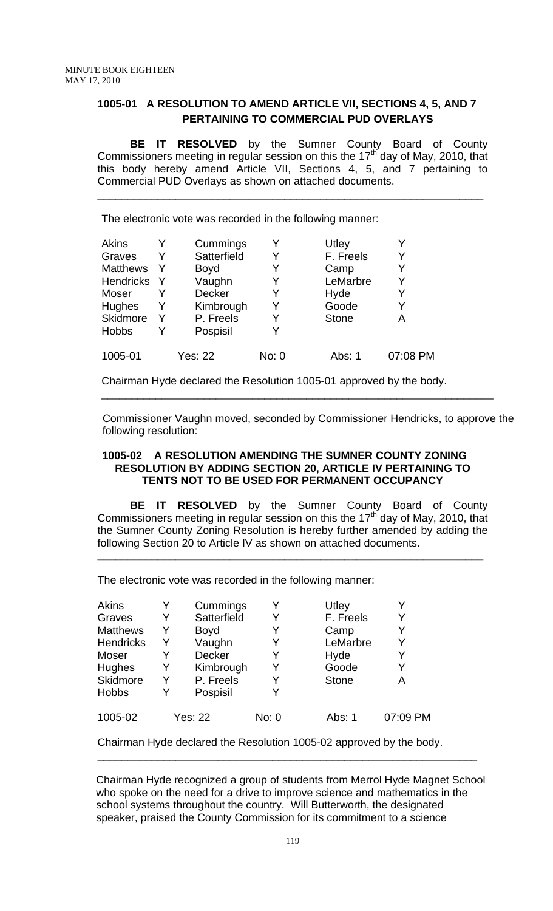## **1005-01 A RESOLUTION TO AMEND ARTICLE VII, SECTIONS 4, 5, AND 7 PERTAINING TO COMMERCIAL PUD OVERLAYS**

**BE IT RESOLVED** by the Sumner County Board of County Commissioners meeting in regular session on this the 17<sup>th</sup> day of May, 2010, that this body hereby amend Article VII, Sections 4, 5, and 7 pertaining to Commercial PUD Overlays as shown on attached documents.

\_\_\_\_\_\_\_\_\_\_\_\_\_\_\_\_\_\_\_\_\_\_\_\_\_\_\_\_\_\_\_\_\_\_\_\_\_\_\_\_\_\_\_\_\_\_\_\_\_\_\_\_\_\_\_\_\_\_\_\_\_\_\_\_

The electronic vote was recorded in the following manner:

| Akins            |   | Cummings       |       | Utley        |          |
|------------------|---|----------------|-------|--------------|----------|
| Graves           | Y | Satterfield    | Y     | F. Freels    | Y        |
| <b>Matthews</b>  | Y | <b>Boyd</b>    |       | Camp         | Y        |
| <b>Hendricks</b> | Y | Vaughn         | Y     | LeMarbre     | Y        |
| Moser            |   | <b>Decker</b>  | Y     | Hyde         | Y        |
| Hughes           | Y | Kimbrough      | Y     | Goode        | Y        |
| Skidmore         | Y | P. Freels      | Y     | <b>Stone</b> | А        |
| <b>Hobbs</b>     |   | Pospisil       |       |              |          |
| 1005-01          |   | <b>Yes: 22</b> | No: 0 | Abs: 1       | 07:08 PM |

Chairman Hyde declared the Resolution 1005-01 approved by the body.

 Commissioner Vaughn moved, seconded by Commissioner Hendricks, to approve the following resolution:

\_\_\_\_\_\_\_\_\_\_\_\_\_\_\_\_\_\_\_\_\_\_\_\_\_\_\_\_\_\_\_\_\_\_\_\_\_\_\_\_\_\_\_\_\_\_\_\_\_\_\_\_\_\_\_\_\_\_\_\_\_\_\_\_\_

## **1005-02 A RESOLUTION AMENDING THE SUMNER COUNTY ZONING RESOLUTION BY ADDING SECTION 20, ARTICLE IV PERTAINING TO TENTS NOT TO BE USED FOR PERMANENT OCCUPANCY**

**BE IT RESOLVED** by the Sumner County Board of County Commissioners meeting in regular session on this the  $17<sup>th</sup>$  day of May, 2010, that the Sumner County Zoning Resolution is hereby further amended by adding the following Section 20 to Article IV as shown on attached documents.

**\_\_\_\_\_\_\_\_\_\_\_\_\_\_\_\_\_\_\_\_\_\_\_\_\_\_\_\_\_\_\_\_\_\_\_\_\_\_\_\_\_\_\_\_\_\_\_\_\_\_\_\_\_\_\_\_\_\_\_\_\_\_\_\_**

The electronic vote was recorded in the following manner:

| <b>Akins</b>     |   | Cummings    |       | Utley        |          |
|------------------|---|-------------|-------|--------------|----------|
| Graves           | Y | Satterfield | Y     | F. Freels    |          |
| <b>Matthews</b>  | Y | <b>Boyd</b> |       | Camp         |          |
| <b>Hendricks</b> | Y | Vaughn      | Y     | LeMarbre     | Y        |
| Moser            |   | Decker      |       | Hyde         |          |
| Hughes           | Y | Kimbrough   | Y     | Goode        |          |
| Skidmore         | Y | P. Freels   |       | <b>Stone</b> | А        |
| <b>Hobbs</b>     | Y | Pospisil    | Y     |              |          |
| 1005-02          |   | Yes: 22     | No: 0 | Abs: 1       | 07:09 PM |

Chairman Hyde declared the Resolution 1005-02 approved by the body. \_\_\_\_\_\_\_\_\_\_\_\_\_\_\_\_\_\_\_\_\_\_\_\_\_\_\_\_\_\_\_\_\_\_\_\_\_\_\_\_\_\_\_\_\_\_\_\_\_\_\_\_\_\_\_\_\_\_\_\_\_\_\_

 Chairman Hyde recognized a group of students from Merrol Hyde Magnet School who spoke on the need for a drive to improve science and mathematics in the school systems throughout the country. Will Butterworth, the designated speaker, praised the County Commission for its commitment to a science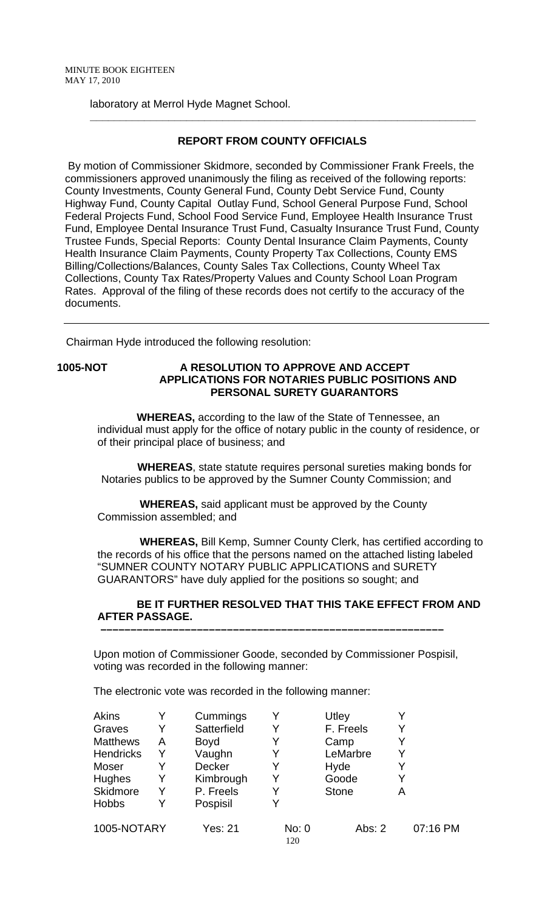laboratory at Merrol Hyde Magnet School.

## **REPORT FROM COUNTY OFFICIALS**

 **\_\_\_\_\_\_\_\_\_\_\_\_\_\_\_\_\_\_\_\_\_\_\_\_\_\_\_\_\_\_\_\_\_\_\_\_\_\_\_\_\_\_\_\_\_\_\_\_\_\_\_\_\_\_\_\_\_\_\_\_\_\_\_\_** 

 By motion of Commissioner Skidmore, seconded by Commissioner Frank Freels, the commissioners approved unanimously the filing as received of the following reports: County Investments, County General Fund, County Debt Service Fund, County Highway Fund, County Capital Outlay Fund, School General Purpose Fund, School Federal Projects Fund, School Food Service Fund, Employee Health Insurance Trust Fund, Employee Dental Insurance Trust Fund, Casualty Insurance Trust Fund, County Trustee Funds, Special Reports: County Dental Insurance Claim Payments, County Health Insurance Claim Payments, County Property Tax Collections, County EMS Billing/Collections/Balances, County Sales Tax Collections, County Wheel Tax Collections, County Tax Rates/Property Values and County School Loan Program Rates. Approval of the filing of these records does not certify to the accuracy of the documents.

Chairman Hyde introduced the following resolution:

## **1005-NOT A RESOLUTION TO APPROVE AND ACCEPT APPLICATIONS FOR NOTARIES PUBLIC POSITIONS AND PERSONAL SURETY GUARANTORS**

 **WHEREAS,** according to the law of the State of Tennessee, an individual must apply for the office of notary public in the county of residence, or of their principal place of business; and

 **WHEREAS**, state statute requires personal sureties making bonds for Notaries publics to be approved by the Sumner County Commission; and

 **WHEREAS,** said applicant must be approved by the County Commission assembled; and

 **WHEREAS,** Bill Kemp, Sumner County Clerk, has certified according to the records of his office that the persons named on the attached listing labeled "SUMNER COUNTY NOTARY PUBLIC APPLICATIONS and SURETY GUARANTORS" have duly applied for the positions so sought; and

#### **BE IT FURTHER RESOLVED THAT THIS TAKE EFFECT FROM AND AFTER PASSAGE. –––––––––––––––––––––––––––––––––––––––––––––––––––––––––**

Upon motion of Commissioner Goode, seconded by Commissioner Pospisil, voting was recorded in the following manner:

The electronic vote was recorded in the following manner:

| <b>Akins</b>     |   | Cummings    |              | Utley        |          |
|------------------|---|-------------|--------------|--------------|----------|
| Graves           | Y | Satterfield |              | F. Freels    | Y        |
| <b>Matthews</b>  | Α | <b>Boyd</b> |              | Camp         | Y        |
| <b>Hendricks</b> | Y | Vaughn      |              | LeMarbre     | Y        |
| Moser            | Y | Decker      |              | Hyde         | Y        |
| <b>Hughes</b>    | Y | Kimbrough   |              | Goode        | Y        |
| Skidmore         | Y | P. Freels   |              | <b>Stone</b> | Α        |
| <b>Hobbs</b>     | Y | Pospisil    |              |              |          |
| 1005-NOTARY      |   | Yes: 21     | No: 0<br>120 | Abs: $2$     | 07:16 PM |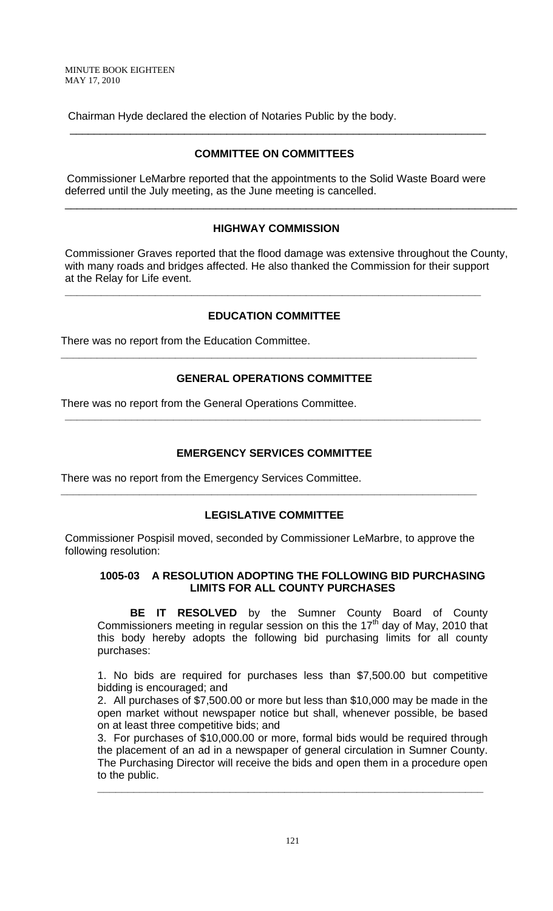MINUTE BOOK EIGHTEEN MAY 17, 2010

Chairman Hyde declared the election of Notaries Public by the body.

## **COMMITTEE ON COMMITTEES**

 $\overline{\phantom{a}}$  , and the contribution of the contribution of the contribution of the contribution of the contribution of the contribution of the contribution of the contribution of the contribution of the contribution of the

 Commissioner LeMarbre reported that the appointments to the Solid Waste Board were deferred until the July meeting, as the June meeting is cancelled.

## **HIGHWAY COMMISSION**

Commissioner Graves reported that the flood damage was extensive throughout the County, with many roads and bridges affected. He also thanked the Commission for their support at the Relay for Life event.

\_\_\_\_\_\_\_\_\_\_\_\_\_\_\_\_\_\_\_\_\_\_\_\_\_\_\_\_\_\_\_\_\_\_\_\_\_\_\_\_\_\_\_\_\_\_\_\_\_\_\_\_\_\_\_\_\_\_\_\_\_\_\_\_\_\_\_\_\_\_\_\_\_\_\_

## **EDUCATION COMMITTEE**

**\_\_\_\_\_\_\_\_\_\_\_\_\_\_\_\_\_\_\_\_\_\_\_\_\_\_\_\_\_\_\_\_\_\_\_\_\_\_\_\_\_\_\_\_\_\_\_\_\_\_\_\_\_\_\_\_\_\_\_\_\_\_\_\_\_\_\_\_\_** 

There was no report from the Education Committee.

## **GENERAL OPERATIONS COMMITTEE**

**\_\_\_\_\_\_\_\_\_\_\_\_\_\_\_\_\_\_\_\_\_\_\_\_\_\_\_\_\_\_\_\_\_\_\_\_\_\_\_\_\_\_\_\_\_\_\_\_\_\_\_\_\_\_\_\_\_\_\_\_\_\_\_\_\_\_\_\_\_** 

There was no report from the General Operations Committee.

## **EMERGENCY SERVICES COMMITTEE**

**\_\_\_\_\_\_\_\_\_\_\_\_\_\_\_\_\_\_\_\_\_\_\_\_\_\_\_\_\_\_\_\_\_\_\_\_\_\_\_\_\_\_\_\_\_\_\_\_\_\_\_\_\_\_\_\_\_\_\_\_\_\_\_\_\_\_\_\_\_** 

There was no report from the Emergency Services Committee.

### **LEGISLATIVE COMMITTEE**

**\_\_\_\_\_\_\_\_\_\_\_\_\_\_\_\_\_\_\_\_\_\_\_\_\_\_\_\_\_\_\_\_\_\_\_\_\_\_\_\_\_\_\_\_\_\_\_\_\_\_\_\_\_\_\_\_\_\_\_\_\_\_\_\_\_\_\_\_\_** 

Commissioner Pospisil moved, seconded by Commissioner LeMarbre, to approve the following resolution:

### **1005-03 A RESOLUTION ADOPTING THE FOLLOWING BID PURCHASING LIMITS FOR ALL COUNTY PURCHASES**

 **BE IT RESOLVED** by the Sumner County Board of County Commissioners meeting in regular session on this the 17<sup>th</sup> day of May, 2010 that this body hereby adopts the following bid purchasing limits for all county purchases:

1. No bids are required for purchases less than \$7,500.00 but competitive bidding is encouraged; and

2. All purchases of \$7,500.00 or more but less than \$10,000 may be made in the open market without newspaper notice but shall, whenever possible, be based on at least three competitive bids; and

3. For purchases of \$10,000.00 or more, formal bids would be required through the placement of an ad in a newspaper of general circulation in Sumner County. The Purchasing Director will receive the bids and open them in a procedure open to the public.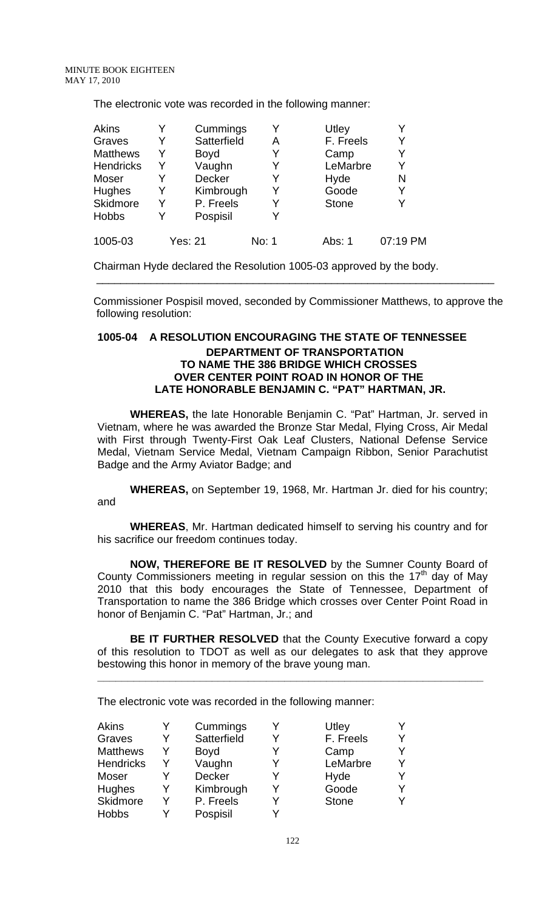The electronic vote was recorded in the following manner:

| <b>Akins</b>     |   | Cummings    |       | Utley        |          |
|------------------|---|-------------|-------|--------------|----------|
| Graves           |   | Satterfield | Α     | F. Freels    |          |
| <b>Matthews</b>  | Y | <b>Boyd</b> | Y     | Camp         |          |
| <b>Hendricks</b> |   | Vaughn      | Y     | LeMarbre     |          |
| Moser            |   | Decker      |       | Hyde         | N        |
| <b>Hughes</b>    |   | Kimbrough   | Y     | Goode        | Y        |
| Skidmore         | Y | P. Freels   | Y     | <b>Stone</b> |          |
| <b>Hobbs</b>     |   | Pospisil    |       |              |          |
| 1005-03          |   | Yes: 21     | No: 1 | Abs: 1       | 07:19 PM |

Chairman Hyde declared the Resolution 1005-03 approved by the body.

Commissioner Pospisil moved, seconded by Commissioner Matthews, to approve the following resolution:

 $\overline{\phantom{a}}$  , and the contribution of the contribution of the contribution of the contribution of the contribution of the contribution of the contribution of the contribution of the contribution of the contribution of the

## **1005-04 A RESOLUTION ENCOURAGING THE STATE OF TENNESSEE DEPARTMENT OF TRANSPORTATION TO NAME THE 386 BRIDGE WHICH CROSSES OVER CENTER POINT ROAD IN HONOR OF THE LATE HONORABLE BENJAMIN C. "PAT" HARTMAN, JR.**

 **WHEREAS,** the late Honorable Benjamin C. "Pat" Hartman, Jr. served in Vietnam, where he was awarded the Bronze Star Medal, Flying Cross, Air Medal with First through Twenty-First Oak Leaf Clusters, National Defense Service Medal, Vietnam Service Medal, Vietnam Campaign Ribbon, Senior Parachutist Badge and the Army Aviator Badge; and

**WHEREAS,** on September 19, 1968, Mr. Hartman Jr. died for his country; and

**WHEREAS**, Mr. Hartman dedicated himself to serving his country and for his sacrifice our freedom continues today.

**NOW, THEREFORE BE IT RESOLVED** by the Sumner County Board of County Commissioners meeting in regular session on this the  $17<sup>th</sup>$  day of May 2010 that this body encourages the State of Tennessee, Department of Transportation to name the 386 Bridge which crosses over Center Point Road in honor of Benjamin C. "Pat" Hartman, Jr.; and

**BE IT FURTHER RESOLVED** that the County Executive forward a copy of this resolution to TDOT as well as our delegates to ask that they approve bestowing this honor in memory of the brave young man.

**\_\_\_\_\_\_\_\_\_\_\_\_\_\_\_\_\_\_\_\_\_\_\_\_\_\_\_\_\_\_\_\_\_\_\_\_\_\_\_\_\_\_\_\_\_\_\_\_\_\_\_\_\_\_\_\_\_\_\_\_\_\_\_\_**

The electronic vote was recorded in the following manner:

| <b>Akins</b>     |   | Cummings    |   | Utley        |   |
|------------------|---|-------------|---|--------------|---|
| Graves           | Y | Satterfield | v | F. Freels    |   |
| <b>Matthews</b>  | Y | <b>Boyd</b> |   | Camp         |   |
| <b>Hendricks</b> | Y | Vaughn      |   | LeMarbre     | v |
| Moser            |   | Decker      |   | Hyde         |   |
| Hughes           | Y | Kimbrough   | v | Goode        |   |
| Skidmore         | Y | P. Freels   |   | <b>Stone</b> |   |
| <b>Hobbs</b>     |   | Pospisil    |   |              |   |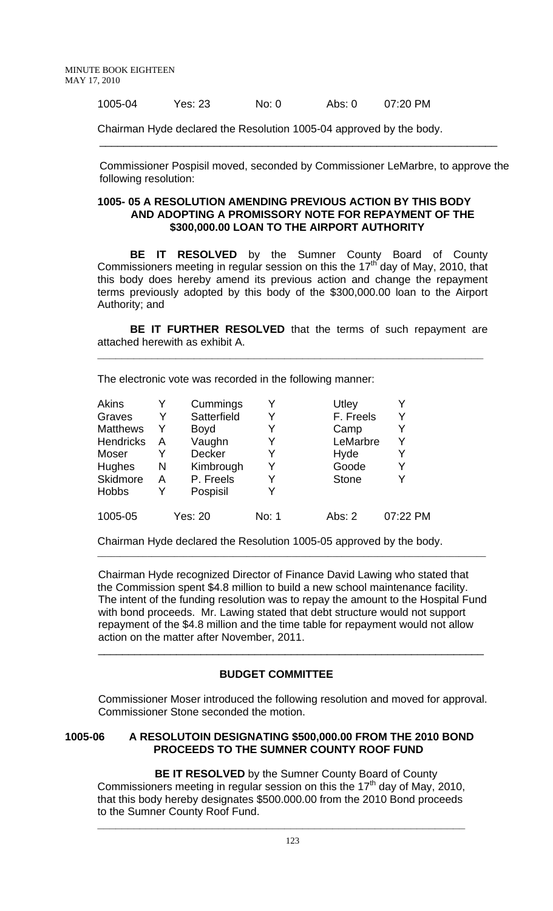1005-04 Yes: 23 No: 0 Abs: 0 07:20 PM

Chairman Hyde declared the Resolution 1005-04 approved by the body.

 Commissioner Pospisil moved, seconded by Commissioner LeMarbre, to approve the following resolution:

 $\overline{\phantom{a}}$  , and the contract of the contract of the contract of the contract of the contract of the contract of the contract of the contract of the contract of the contract of the contract of the contract of the contrac

#### **1005- 05 A RESOLUTION AMENDING PREVIOUS ACTION BY THIS BODY AND ADOPTING A PROMISSORY NOTE FOR REPAYMENT OF THE \$300,000.00 LOAN TO THE AIRPORT AUTHORITY**

**BE IT RESOLVED** by the Sumner County Board of County Commissioners meeting in regular session on this the 17<sup>th</sup> day of May, 2010, that this body does hereby amend its previous action and change the repayment terms previously adopted by this body of the \$300,000.00 loan to the Airport Authority; and

**BE IT FURTHER RESOLVED** that the terms of such repayment are attached herewith as exhibit A.

**\_\_\_\_\_\_\_\_\_\_\_\_\_\_\_\_\_\_\_\_\_\_\_\_\_\_\_\_\_\_\_\_\_\_\_\_\_\_\_\_\_\_\_\_\_\_\_\_\_\_\_\_\_\_\_\_\_\_\_\_\_\_\_\_**

The electronic vote was recorded in the following manner:

| <b>Akins</b>     |   | Cummings       |       | Utley        |          |
|------------------|---|----------------|-------|--------------|----------|
| Graves           | Y | Satterfield    | Y     | F. Freels    | Y        |
| <b>Matthews</b>  | Y | <b>Boyd</b>    |       | Camp         | Y        |
| <b>Hendricks</b> | A | Vaughn         | Y     | LeMarbre     | Y        |
| Moser            |   | <b>Decker</b>  | Y     | Hyde         | Y        |
| Hughes           | N | Kimbrough      | Y     | Goode        | Y        |
| Skidmore         | Α | P. Freels      | Y     | <b>Stone</b> | Y        |
| <b>Hobbs</b>     | Y | Pospisil       | Y     |              |          |
| 1005-05          |   | <b>Yes: 20</b> | No: 1 | Abs: $2$     | 07:22 PM |

Chairman Hyde declared the Resolution 1005-05 approved by the body.

Chairman Hyde recognized Director of Finance David Lawing who stated that the Commission spent \$4.8 million to build a new school maintenance facility. The intent of the funding resolution was to repay the amount to the Hospital Fund with bond proceeds. Mr. Lawing stated that debt structure would not support repayment of the \$4.8 million and the time table for repayment would not allow action on the matter after November, 2011.

\_\_\_\_\_\_\_\_\_\_\_\_\_\_\_\_\_\_\_\_\_\_\_\_\_\_\_\_\_\_\_\_\_\_\_\_\_\_\_\_\_\_\_\_\_\_\_\_\_\_\_\_\_\_\_\_\_\_\_\_\_\_\_\_\_\_\_\_\_\_\_\_\_\_\_\_\_\_\_\_\_\_\_\_\_\_

## **BUDGET COMMITTEE**

\_\_\_\_\_\_\_\_\_\_\_\_\_\_\_\_\_\_\_\_\_\_\_\_\_\_\_\_\_\_\_\_\_\_\_\_\_\_\_\_\_\_\_\_\_\_\_\_\_\_\_\_\_\_\_\_\_\_\_\_\_\_\_\_

Commissioner Moser introduced the following resolution and moved for approval. Commissioner Stone seconded the motion.

### **1005-06 A RESOLUTOIN DESIGNATING \$500,000.00 FROM THE 2010 BOND PROCEEDS TO THE SUMNER COUNTY ROOF FUND**

**BE IT RESOLVED** by the Sumner County Board of County Commissioners meeting in regular session on this the  $17<sup>th</sup>$  day of May, 2010, that this body hereby designates \$500.000.00 from the 2010 Bond proceeds to the Sumner County Roof Fund. **\_\_\_\_\_\_\_\_\_\_\_\_\_\_\_\_\_\_\_\_\_\_\_\_\_\_\_\_\_\_\_\_\_\_\_\_\_\_\_\_\_\_\_\_\_\_\_\_\_\_\_\_\_\_\_\_\_\_\_\_\_**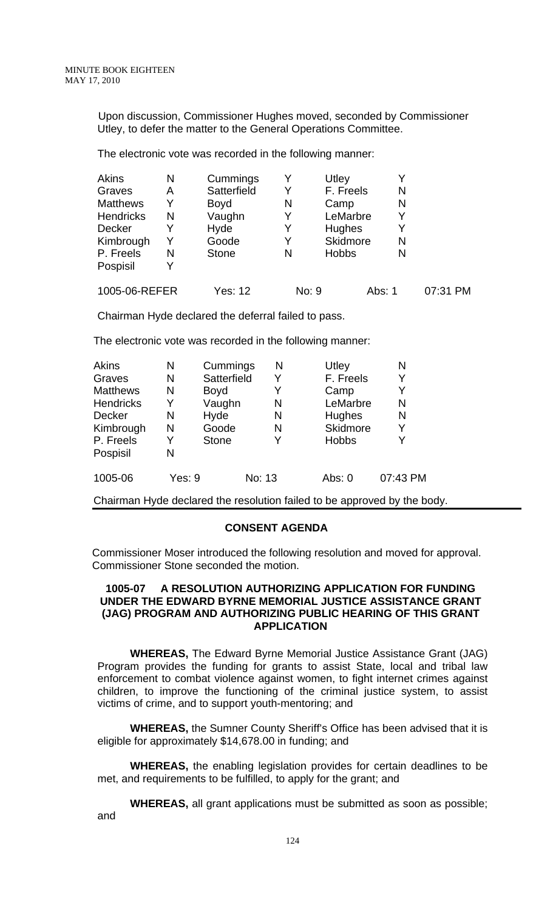Upon discussion, Commissioner Hughes moved, seconded by Commissioner Utley, to defer the matter to the General Operations Committee.

The electronic vote was recorded in the following manner:

| <b>Akins</b>     | Ν | Cummings     |   | Utley           |        |          |
|------------------|---|--------------|---|-----------------|--------|----------|
| Graves           | Α | Satterfield  | Y | F. Freels       | N      |          |
| <b>Matthews</b>  | Y | <b>Boyd</b>  | N | Camp            | N      |          |
| <b>Hendricks</b> | N | Vaughn       | Y | LeMarbre        |        |          |
| Decker           |   | Hyde         | Y | <b>Hughes</b>   |        |          |
| Kimbrough        |   | Goode        | Y | <b>Skidmore</b> | N      |          |
| P. Freels        | N | <b>Stone</b> | N | <b>Hobbs</b>    | N      |          |
| Pospisil         |   |              |   |                 |        |          |
| 1005-06-REFER    |   | Yes: 12      |   | No: 9           | Abs: 1 | 07:31 PM |

Chairman Hyde declared the deferral failed to pass.

The electronic vote was recorded in the following manner:

| <b>Akins</b>     | N      | Cummings     |        | N | Utley        | N        |
|------------------|--------|--------------|--------|---|--------------|----------|
| Graves           | N      | Satterfield  |        | Y | F. Freels    | Y        |
| <b>Matthews</b>  | N      | <b>Boyd</b>  |        | Y | Camp         | Y        |
| <b>Hendricks</b> | Y      | Vaughn       |        | N | LeMarbre     | N        |
| <b>Decker</b>    | N      | Hyde         |        | N | Hughes       | N        |
| Kimbrough        | N      | Goode        |        | N | Skidmore     | Y        |
| P. Freels        | Y      | <b>Stone</b> |        | Y | <b>Hobbs</b> | Y        |
| Pospisil         | N      |              |        |   |              |          |
| 1005-06          | Yes: 9 |              | No: 13 |   | Abs: $0$     | 07:43 PM |

Chairman Hyde declared the resolution failed to be approved by the body.

### **CONSENT AGENDA**

 Commissioner Moser introduced the following resolution and moved for approval. Commissioner Stone seconded the motion.

### **1005-07 A RESOLUTION AUTHORIZING APPLICATION FOR FUNDING UNDER THE EDWARD BYRNE MEMORIAL JUSTICE ASSISTANCE GRANT (JAG) PROGRAM AND AUTHORIZING PUBLIC HEARING OF THIS GRANT APPLICATION**

**WHEREAS,** The Edward Byrne Memorial Justice Assistance Grant (JAG) Program provides the funding for grants to assist State, local and tribal law enforcement to combat violence against women, to fight internet crimes against children, to improve the functioning of the criminal justice system, to assist victims of crime, and to support youth-mentoring; and

**WHEREAS,** the Sumner County Sheriff's Office has been advised that it is eligible for approximately \$14,678.00 in funding; and

**WHEREAS,** the enabling legislation provides for certain deadlines to be met, and requirements to be fulfilled, to apply for the grant; and

**WHEREAS,** all grant applications must be submitted as soon as possible; and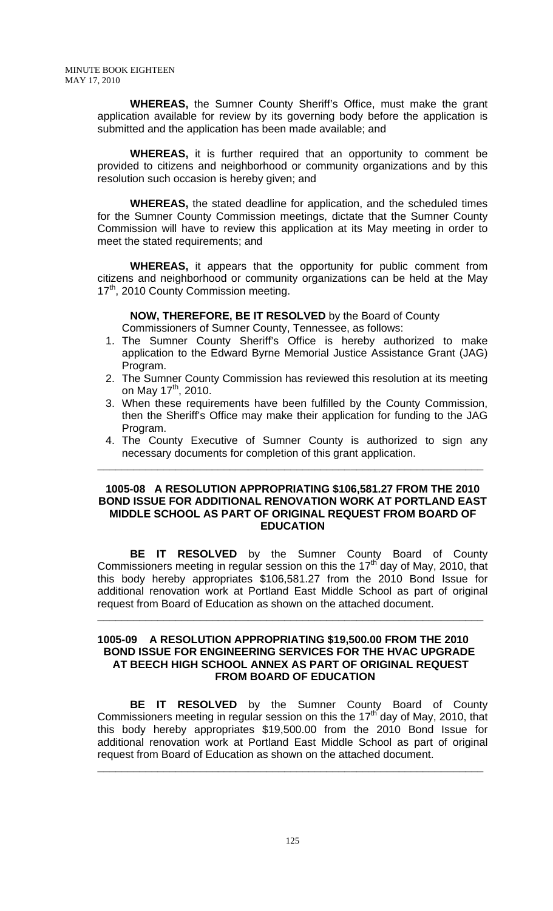**WHEREAS,** the Sumner County Sheriff's Office, must make the grant application available for review by its governing body before the application is submitted and the application has been made available; and

**WHEREAS,** it is further required that an opportunity to comment be provided to citizens and neighborhood or community organizations and by this resolution such occasion is hereby given; and

**WHEREAS,** the stated deadline for application, and the scheduled times for the Sumner County Commission meetings, dictate that the Sumner County Commission will have to review this application at its May meeting in order to meet the stated requirements; and

**WHEREAS,** it appears that the opportunity for public comment from citizens and neighborhood or community organizations can be held at the May 17<sup>th</sup>, 2010 County Commission meeting.

**NOW, THEREFORE, BE IT RESOLVED** by the Board of County

Commissioners of Sumner County, Tennessee, as follows:

- 1. The Sumner County Sheriff's Office is hereby authorized to make application to the Edward Byrne Memorial Justice Assistance Grant (JAG) Program.
- 2. The Sumner County Commission has reviewed this resolution at its meeting on May  $17^{th}$ , 2010.
- 3. When these requirements have been fulfilled by the County Commission, then the Sheriff's Office may make their application for funding to the JAG Program.
- 4. The County Executive of Sumner County is authorized to sign any necessary documents for completion of this grant application.

**\_\_\_\_\_\_\_\_\_\_\_\_\_\_\_\_\_\_\_\_\_\_\_\_\_\_\_\_\_\_\_\_\_\_\_\_\_\_\_\_\_\_\_\_\_\_\_\_\_\_\_\_\_\_\_\_\_\_\_\_\_\_\_\_**

## **1005-08 A RESOLUTION APPROPRIATING \$106,581.27 FROM THE 2010 BOND ISSUE FOR ADDITIONAL RENOVATION WORK AT PORTLAND EAST MIDDLE SCHOOL AS PART OF ORIGINAL REQUEST FROM BOARD OF EDUCATION**

 **BE IT RESOLVED** by the Sumner County Board of County Commissioners meeting in regular session on this the  $17<sup>th</sup>$  day of May, 2010, that this body hereby appropriates \$106,581.27 from the 2010 Bond Issue for additional renovation work at Portland East Middle School as part of original request from Board of Education as shown on the attached document.

**\_\_\_\_\_\_\_\_\_\_\_\_\_\_\_\_\_\_\_\_\_\_\_\_\_\_\_\_\_\_\_\_\_\_\_\_\_\_\_\_\_\_\_\_\_\_\_\_\_\_\_\_\_\_\_\_\_\_\_\_\_\_\_\_**

## **1005-09 A RESOLUTION APPROPRIATING \$19,500.00 FROM THE 2010 BOND ISSUE FOR ENGINEERING SERVICES FOR THE HVAC UPGRADE AT BEECH HIGH SCHOOL ANNEX AS PART OF ORIGINAL REQUEST FROM BOARD OF EDUCATION**

 **BE IT RESOLVED** by the Sumner County Board of County Commissioners meeting in regular session on this the  $17<sup>th</sup>$  day of May, 2010, that this body hereby appropriates \$19,500.00 from the 2010 Bond Issue for additional renovation work at Portland East Middle School as part of original request from Board of Education as shown on the attached document.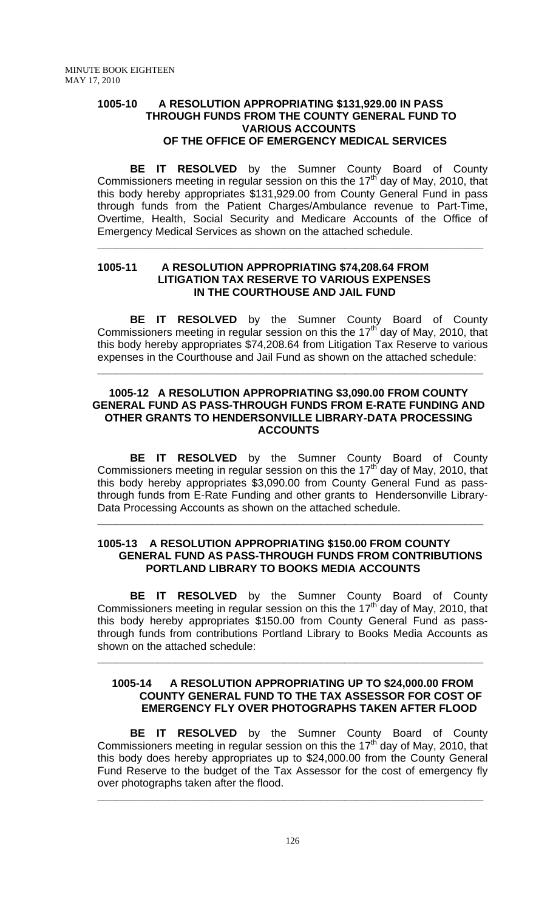## **1005-10 A RESOLUTION APPROPRIATING \$131,929.00 IN PASS THROUGH FUNDS FROM THE COUNTY GENERAL FUND TO VARIOUS ACCOUNTS OF THE OFFICE OF EMERGENCY MEDICAL SERVICES**

**BE IT RESOLVED** by the Sumner County Board of County Commissioners meeting in regular session on this the  $17<sup>th</sup>$  day of May, 2010, that this body hereby appropriates \$131,929.00 from County General Fund in pass through funds from the Patient Charges/Ambulance revenue to Part-Time, Overtime, Health, Social Security and Medicare Accounts of the Office of Emergency Medical Services as shown on the attached schedule.

**\_\_\_\_\_\_\_\_\_\_\_\_\_\_\_\_\_\_\_\_\_\_\_\_\_\_\_\_\_\_\_\_\_\_\_\_\_\_\_\_\_\_\_\_\_\_\_\_\_\_\_\_\_\_\_\_\_\_\_\_\_\_\_\_**

#### **1005-11 A RESOLUTION APPROPRIATING \$74,208.64 FROM LITIGATION TAX RESERVE TO VARIOUS EXPENSES IN THE COURTHOUSE AND JAIL FUND**

 **BE IT RESOLVED** by the Sumner County Board of County Commissioners meeting in regular session on this the  $17<sup>th</sup>$  day of May, 2010, that this body hereby appropriates \$74,208.64 from Litigation Tax Reserve to various expenses in the Courthouse and Jail Fund as shown on the attached schedule:

## **1005-12 A RESOLUTION APPROPRIATING \$3,090.00 FROM COUNTY GENERAL FUND AS PASS-THROUGH FUNDS FROM E-RATE FUNDING AND OTHER GRANTS TO HENDERSONVILLE LIBRARY-DATA PROCESSING ACCOUNTS**

**\_\_\_\_\_\_\_\_\_\_\_\_\_\_\_\_\_\_\_\_\_\_\_\_\_\_\_\_\_\_\_\_\_\_\_\_\_\_\_\_\_\_\_\_\_\_\_\_\_\_\_\_\_\_\_\_\_\_\_\_\_\_\_\_**

 **BE IT RESOLVED** by the Sumner County Board of County Commissioners meeting in regular session on this the 17<sup>th</sup> day of May, 2010, that this body hereby appropriates \$3,090.00 from County General Fund as passthrough funds from E-Rate Funding and other grants to Hendersonville Library-Data Processing Accounts as shown on the attached schedule.

### **1005-13 A RESOLUTION APPROPRIATING \$150.00 FROM COUNTY GENERAL FUND AS PASS-THROUGH FUNDS FROM CONTRIBUTIONS PORTLAND LIBRARY TO BOOKS MEDIA ACCOUNTS**

**\_\_\_\_\_\_\_\_\_\_\_\_\_\_\_\_\_\_\_\_\_\_\_\_\_\_\_\_\_\_\_\_\_\_\_\_\_\_\_\_\_\_\_\_\_\_\_\_\_\_\_\_\_\_\_\_\_\_\_\_\_\_\_\_**

**BE IT RESOLVED** by the Sumner County Board of County Commissioners meeting in regular session on this the 17<sup>th</sup> day of May, 2010, that this body hereby appropriates \$150.00 from County General Fund as passthrough funds from contributions Portland Library to Books Media Accounts as shown on the attached schedule:

**\_\_\_\_\_\_\_\_\_\_\_\_\_\_\_\_\_\_\_\_\_\_\_\_\_\_\_\_\_\_\_\_\_\_\_\_\_\_\_\_\_\_\_\_\_\_\_\_\_\_\_\_\_\_\_\_\_\_\_\_\_\_\_\_**

## **1005-14 A RESOLUTION APPROPRIATING UP TO \$24,000.00 FROM COUNTY GENERAL FUND TO THE TAX ASSESSOR FOR COST OF EMERGENCY FLY OVER PHOTOGRAPHS TAKEN AFTER FLOOD**

**BE IT RESOLVED** by the Sumner County Board of County Commissioners meeting in regular session on this the 17<sup>th</sup> day of May, 2010, that this body does hereby appropriates up to \$24,000.00 from the County General Fund Reserve to the budget of the Tax Assessor for the cost of emergency fly over photographs taken after the flood.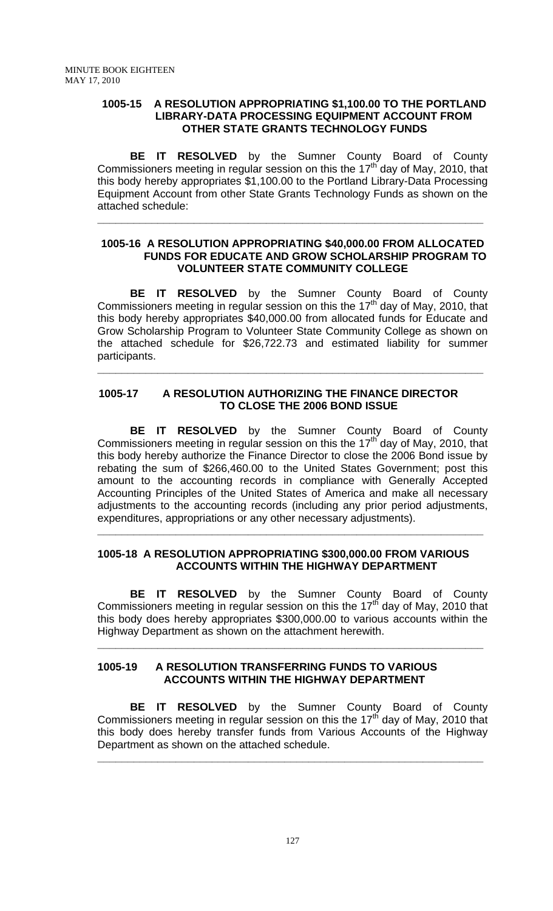### **1005-15 A RESOLUTION APPROPRIATING \$1,100.00 TO THE PORTLAND LIBRARY-DATA PROCESSING EQUIPMENT ACCOUNT FROM OTHER STATE GRANTS TECHNOLOGY FUNDS**

**BE IT RESOLVED** by the Sumner County Board of County Commissioners meeting in regular session on this the 17<sup>th</sup> day of May, 2010, that this body hereby appropriates \$1,100.00 to the Portland Library-Data Processing Equipment Account from other State Grants Technology Funds as shown on the attached schedule:

**\_\_\_\_\_\_\_\_\_\_\_\_\_\_\_\_\_\_\_\_\_\_\_\_\_\_\_\_\_\_\_\_\_\_\_\_\_\_\_\_\_\_\_\_\_\_\_\_\_\_\_\_\_\_\_\_\_\_\_\_\_\_\_\_**

## **1005-16 A RESOLUTION APPROPRIATING \$40,000.00 FROM ALLOCATED FUNDS FOR EDUCATE AND GROW SCHOLARSHIP PROGRAM TO VOLUNTEER STATE COMMUNITY COLLEGE**

 **BE IT RESOLVED** by the Sumner County Board of County Commissioners meeting in regular session on this the  $17<sup>th</sup>$  day of May, 2010, that this body hereby appropriates \$40,000.00 from allocated funds for Educate and Grow Scholarship Program to Volunteer State Community College as shown on the attached schedule for \$26,722.73 and estimated liability for summer participants.

**\_\_\_\_\_\_\_\_\_\_\_\_\_\_\_\_\_\_\_\_\_\_\_\_\_\_\_\_\_\_\_\_\_\_\_\_\_\_\_\_\_\_\_\_\_\_\_\_\_\_\_\_\_\_\_\_\_\_\_\_\_\_\_\_**

## **1005-17 A RESOLUTION AUTHORIZING THE FINANCE DIRECTOR TO CLOSE THE 2006 BOND ISSUE**

**BE IT RESOLVED** by the Sumner County Board of County Commissioners meeting in regular session on this the 17th day of May, 2010, that this body hereby authorize the Finance Director to close the 2006 Bond issue by rebating the sum of \$266,460.00 to the United States Government; post this amount to the accounting records in compliance with Generally Accepted Accounting Principles of the United States of America and make all necessary adjustments to the accounting records (including any prior period adjustments, expenditures, appropriations or any other necessary adjustments).

## **1005-18 A RESOLUTION APPROPRIATING \$300,000.00 FROM VARIOUS ACCOUNTS WITHIN THE HIGHWAY DEPARTMENT**

**\_\_\_\_\_\_\_\_\_\_\_\_\_\_\_\_\_\_\_\_\_\_\_\_\_\_\_\_\_\_\_\_\_\_\_\_\_\_\_\_\_\_\_\_\_\_\_\_\_\_\_\_\_\_\_\_\_\_\_\_\_\_\_\_**

 **BE IT RESOLVED** by the Sumner County Board of County Commissioners meeting in regular session on this the  $17<sup>th</sup>$  day of May, 2010 that this body does hereby appropriates \$300,000.00 to various accounts within the Highway Department as shown on the attachment herewith.

**\_\_\_\_\_\_\_\_\_\_\_\_\_\_\_\_\_\_\_\_\_\_\_\_\_\_\_\_\_\_\_\_\_\_\_\_\_\_\_\_\_\_\_\_\_\_\_\_\_\_\_\_\_\_\_\_\_\_\_\_\_\_\_\_**

## **1005-19 A RESOLUTION TRANSFERRING FUNDS TO VARIOUS ACCOUNTS WITHIN THE HIGHWAY DEPARTMENT**

 **BE IT RESOLVED** by the Sumner County Board of County Commissioners meeting in regular session on this the  $17<sup>th</sup>$  day of May, 2010 that this body does hereby transfer funds from Various Accounts of the Highway Department as shown on the attached schedule.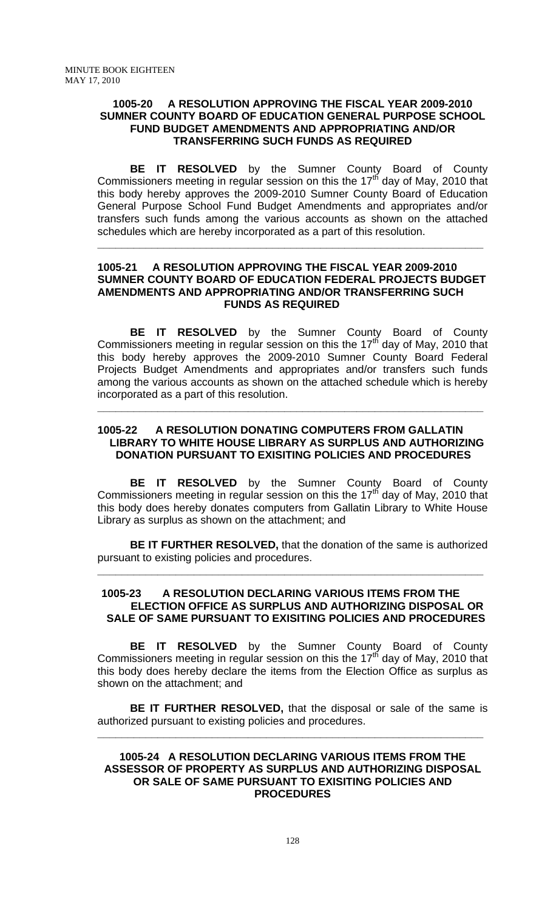#### **1005-20 A RESOLUTION APPROVING THE FISCAL YEAR 2009-2010 SUMNER COUNTY BOARD OF EDUCATION GENERAL PURPOSE SCHOOL FUND BUDGET AMENDMENTS AND APPROPRIATING AND/OR TRANSFERRING SUCH FUNDS AS REQUIRED**

 **BE IT RESOLVED** by the Sumner County Board of County Commissioners meeting in regular session on this the  $17<sup>th</sup>$  day of May, 2010 that this body hereby approves the 2009-2010 Sumner County Board of Education General Purpose School Fund Budget Amendments and appropriates and/or transfers such funds among the various accounts as shown on the attached schedules which are hereby incorporated as a part of this resolution.

#### **1005-21 A RESOLUTION APPROVING THE FISCAL YEAR 2009-2010 SUMNER COUNTY BOARD OF EDUCATION FEDERAL PROJECTS BUDGET AMENDMENTS AND APPROPRIATING AND/OR TRANSFERRING SUCH FUNDS AS REQUIRED**

**\_\_\_\_\_\_\_\_\_\_\_\_\_\_\_\_\_\_\_\_\_\_\_\_\_\_\_\_\_\_\_\_\_\_\_\_\_\_\_\_\_\_\_\_\_\_\_\_\_\_\_\_\_\_\_\_\_\_\_\_\_\_\_\_**

 **BE IT RESOLVED** by the Sumner County Board of County Commissioners meeting in regular session on this the  $17<sup>th</sup>$  day of May, 2010 that this body hereby approves the 2009-2010 Sumner County Board Federal Projects Budget Amendments and appropriates and/or transfers such funds among the various accounts as shown on the attached schedule which is hereby incorporated as a part of this resolution.

## **1005-22 A RESOLUTION DONATING COMPUTERS FROM GALLATIN LIBRARY TO WHITE HOUSE LIBRARY AS SURPLUS AND AUTHORIZING DONATION PURSUANT TO EXISITING POLICIES AND PROCEDURES**

**\_\_\_\_\_\_\_\_\_\_\_\_\_\_\_\_\_\_\_\_\_\_\_\_\_\_\_\_\_\_\_\_\_\_\_\_\_\_\_\_\_\_\_\_\_\_\_\_\_\_\_\_\_\_\_\_\_\_\_\_\_\_\_\_**

**BE IT RESOLVED** by the Sumner County Board of County Commissioners meeting in regular session on this the  $17<sup>th</sup>$  day of May, 2010 that this body does hereby donates computers from Gallatin Library to White House Library as surplus as shown on the attachment; and

**BE IT FURTHER RESOLVED,** that the donation of the same is authorized pursuant to existing policies and procedures.

**\_\_\_\_\_\_\_\_\_\_\_\_\_\_\_\_\_\_\_\_\_\_\_\_\_\_\_\_\_\_\_\_\_\_\_\_\_\_\_\_\_\_\_\_\_\_\_\_\_\_\_\_\_\_\_\_\_\_\_\_\_\_\_\_**

### **1005-23 A RESOLUTION DECLARING VARIOUS ITEMS FROM THE ELECTION OFFICE AS SURPLUS AND AUTHORIZING DISPOSAL OR SALE OF SAME PURSUANT TO EXISITING POLICIES AND PROCEDURES**

 **BE IT RESOLVED** by the Sumner County Board of County Commissioners meeting in regular session on this the  $17<sup>th</sup>$  day of May, 2010 that this body does hereby declare the items from the Election Office as surplus as shown on the attachment; and

**BE IT FURTHER RESOLVED,** that the disposal or sale of the same is authorized pursuant to existing policies and procedures.

**\_\_\_\_\_\_\_\_\_\_\_\_\_\_\_\_\_\_\_\_\_\_\_\_\_\_\_\_\_\_\_\_\_\_\_\_\_\_\_\_\_\_\_\_\_\_\_\_\_\_\_\_\_\_\_\_\_\_\_\_\_\_\_\_**

### **1005-24 A RESOLUTION DECLARING VARIOUS ITEMS FROM THE ASSESSOR OF PROPERTY AS SURPLUS AND AUTHORIZING DISPOSAL OR SALE OF SAME PURSUANT TO EXISITING POLICIES AND PROCEDURES**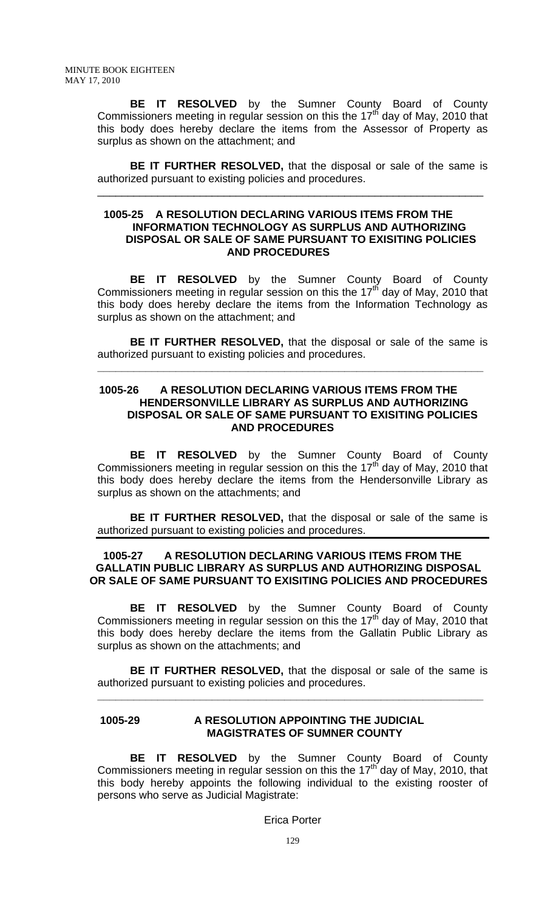**BE IT RESOLVED** by the Sumner County Board of County Commissioners meeting in regular session on this the 17<sup>th</sup> day of May, 2010 that this body does hereby declare the items from the Assessor of Property as surplus as shown on the attachment; and

**BE IT FURTHER RESOLVED,** that the disposal or sale of the same is authorized pursuant to existing policies and procedures.

\_\_\_\_\_\_\_\_\_\_\_\_\_\_\_\_\_\_\_\_\_\_\_\_\_\_\_\_\_\_\_\_\_\_\_\_\_\_\_\_\_\_\_\_\_\_\_\_\_\_\_\_\_\_\_\_\_\_\_\_\_\_\_\_

#### **1005-25 A RESOLUTION DECLARING VARIOUS ITEMS FROM THE INFORMATION TECHNOLOGY AS SURPLUS AND AUTHORIZING DISPOSAL OR SALE OF SAME PURSUANT TO EXISITING POLICIES AND PROCEDURES**

 **BE IT RESOLVED** by the Sumner County Board of County Commissioners meeting in regular session on this the 17<sup>th</sup> day of May, 2010 that this body does hereby declare the items from the Information Technology as surplus as shown on the attachment; and

**BE IT FURTHER RESOLVED,** that the disposal or sale of the same is authorized pursuant to existing policies and procedures.

**\_\_\_\_\_\_\_\_\_\_\_\_\_\_\_\_\_\_\_\_\_\_\_\_\_\_\_\_\_\_\_\_\_\_\_\_\_\_\_\_\_\_\_\_\_\_\_\_\_\_\_\_\_\_\_\_\_\_\_\_\_\_\_\_**

#### **1005-26 A RESOLUTION DECLARING VARIOUS ITEMS FROM THE HENDERSONVILLE LIBRARY AS SURPLUS AND AUTHORIZING DISPOSAL OR SALE OF SAME PURSUANT TO EXISITING POLICIES AND PROCEDURES**

 **BE IT RESOLVED** by the Sumner County Board of County Commissioners meeting in regular session on this the 17th day of May, 2010 that this body does hereby declare the items from the Hendersonville Library as surplus as shown on the attachments; and

**BE IT FURTHER RESOLVED,** that the disposal or sale of the same is authorized pursuant to existing policies and procedures.

## **1005-27 A RESOLUTION DECLARING VARIOUS ITEMS FROM THE GALLATIN PUBLIC LIBRARY AS SURPLUS AND AUTHORIZING DISPOSAL OR SALE OF SAME PURSUANT TO EXISITING POLICIES AND PROCEDURES**

 **BE IT RESOLVED** by the Sumner County Board of County Commissioners meeting in regular session on this the  $17<sup>th</sup>$  day of May, 2010 that this body does hereby declare the items from the Gallatin Public Library as surplus as shown on the attachments; and

**BE IT FURTHER RESOLVED,** that the disposal or sale of the same is authorized pursuant to existing policies and procedures.

**\_\_\_\_\_\_\_\_\_\_\_\_\_\_\_\_\_\_\_\_\_\_\_\_\_\_\_\_\_\_\_\_\_\_\_\_\_\_\_\_\_\_\_\_\_\_\_\_\_\_\_\_\_\_\_\_\_\_\_\_\_\_\_\_**

#### **1005-29 A RESOLUTION APPOINTING THE JUDICIAL MAGISTRATES OF SUMNER COUNTY**

**BE IT RESOLVED** by the Sumner County Board of County Commissioners meeting in regular session on this the  $17<sup>th</sup>$  day of May, 2010, that this body hereby appoints the following individual to the existing rooster of persons who serve as Judicial Magistrate:

Erica Porter